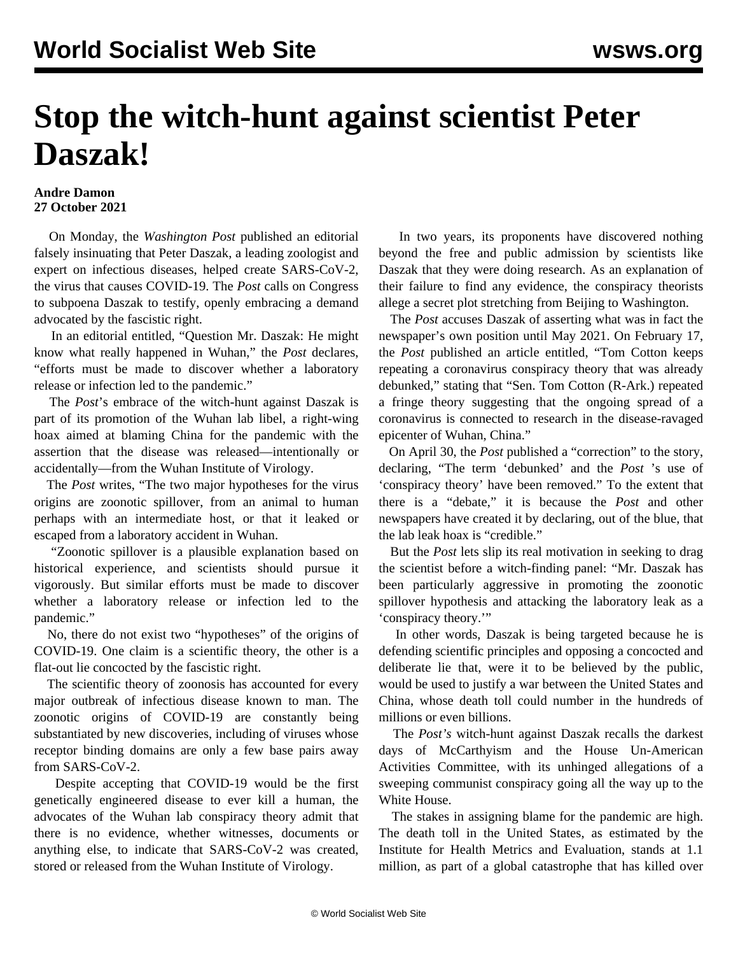## **Stop the witch-hunt against scientist Peter Daszak!**

## **Andre Damon 27 October 2021**

 On Monday, the *Washington Post* published an editorial falsely insinuating that Peter Daszak, a leading zoologist and expert on infectious diseases, helped create SARS-CoV-2, the virus that causes COVID-19. The *Post* calls on Congress to subpoena Daszak to testify, openly embracing a demand advocated by the fascistic right.

 In an editorial entitled, "Question Mr. Daszak: He might know what really happened in Wuhan," the *Post* declares, "efforts must be made to discover whether a laboratory release or infection led to the pandemic."

 The *Post*'s embrace of the witch-hunt against Daszak is part of its promotion of the Wuhan lab libel, a right-wing hoax aimed at blaming China for the pandemic with the assertion that the disease was released—intentionally or accidentally—from the Wuhan Institute of Virology.

 The *Post* writes, "The two major hypotheses for the virus origins are zoonotic spillover, from an animal to human perhaps with an intermediate host, or that it leaked or escaped from a laboratory accident in Wuhan.

 "Zoonotic spillover is a plausible explanation based on historical experience, and scientists should pursue it vigorously. But similar efforts must be made to discover whether a laboratory release or infection led to the pandemic."

 No, there do not exist two "hypotheses" of the origins of COVID-19. One claim is a scientific theory, the other is a flat-out lie concocted by the fascistic right.

 The scientific theory of zoonosis has accounted for every major outbreak of infectious disease known to man. The zoonotic origins of COVID-19 are constantly being substantiated by new discoveries, including of viruses whose receptor binding domains are only a few base pairs away from SARS-CoV-2.

 Despite accepting that COVID-19 would be the first genetically engineered disease to ever kill a human, the advocates of the Wuhan lab conspiracy theory admit that there is no evidence, whether witnesses, documents or anything else, to indicate that SARS-CoV-2 was created, stored or released from the Wuhan Institute of Virology.

 In two years, its proponents have discovered nothing beyond the free and public admission by scientists like Daszak that they were doing research. As an explanation of their failure to find any evidence, the conspiracy theorists allege a secret plot stretching from Beijing to Washington.

 The *Post* accuses Daszak of asserting what was in fact the newspaper's own position until May 2021. On February 17, the *Post* published an article entitled, "Tom Cotton keeps repeating a coronavirus conspiracy theory that was already debunked," stating that "Sen. Tom Cotton (R-Ark.) repeated a fringe theory suggesting that the ongoing spread of a coronavirus is connected to research in the disease-ravaged epicenter of Wuhan, China."

 On April 30, the *Post* published a "correction" to the story, declaring, "The term 'debunked' and the *Post* 's use of 'conspiracy theory' have been removed." To the extent that there is a "debate," it is because the *Post* and other newspapers have [created it](/en/articles/2021/05/31/wuha-m31.html) by declaring, out of the blue, that the lab leak hoax is "credible."

 But the *Post* lets slip its real motivation in seeking to drag the scientist before a witch-finding panel: "Mr. Daszak has been particularly aggressive in promoting the zoonotic spillover hypothesis and attacking the laboratory leak as a 'conspiracy theory.'"

 In other words, Daszak is being targeted because he is defending scientific principles and opposing a concocted and deliberate lie that, were it to be believed by the public, would be used to justify a war between the United States and China, whose death toll could number in the hundreds of millions or even billions.

 The *Post's* witch-hunt against Daszak recalls the darkest days of McCarthyism and the House Un-American Activities Committee, with its unhinged allegations of a sweeping communist conspiracy going all the way up to the White House.

 The stakes in assigning blame for the pandemic are high. The death toll in the United States, as estimated by the Institute for Health Metrics and Evaluation, stands at 1.1 million, as part of a global catastrophe that has killed over